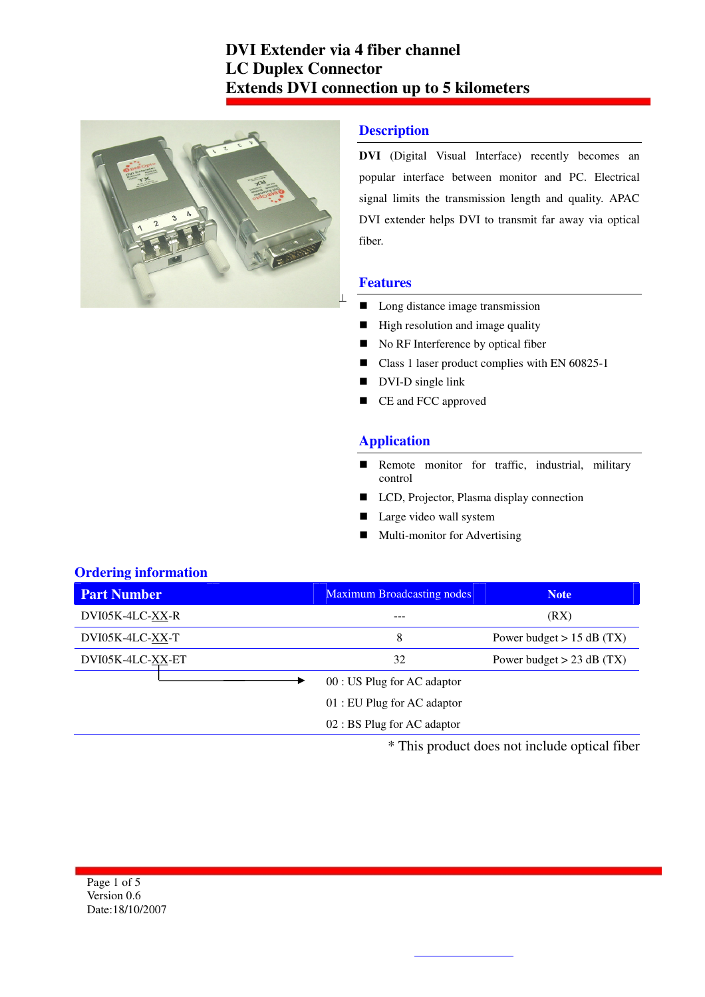

# **Description**

**DVI** (Digital Visual Interface) recently becomes an popular interface between monitor and PC. Electrical signal limits the transmission length and quality. APAC DVI extender helps DVI to transmit far away via optical fiber.

#### **Features**

- **Long distance image transmission**
- $\blacksquare$  High resolution and image quality
- No RF Interference by optical fiber
- Class 1 laser product complies with EN 60825-1
- DVI-D single link
- CE and FCC approved

#### **Application**

- Remote monitor for traffic, industrial, military control
- LCD, Projector, Plasma display connection
- Large video wall system
- **Multi-monitor for Advertising**

#### **Ordering information**

| <b>Part Number</b> | <b>Maximum Broadcasting nodes</b> | <b>Note</b>                 |
|--------------------|-----------------------------------|-----------------------------|
| DVI05K-4LC-XX-R    | ---                               | (RX)                        |
| DVI05K-4LC-XX-T    | 8                                 | Power budget $> 15$ dB (TX) |
| DVI05K-4LC-XX-ET   | 32                                | Power budget $> 23$ dB (TX) |
|                    | 00 : US Plug for AC adaptor       |                             |
|                    | 01 : EU Plug for AC adaptor       |                             |
|                    | 02 : BS Plug for AC adaptor       |                             |

\* This product does not include optical fiber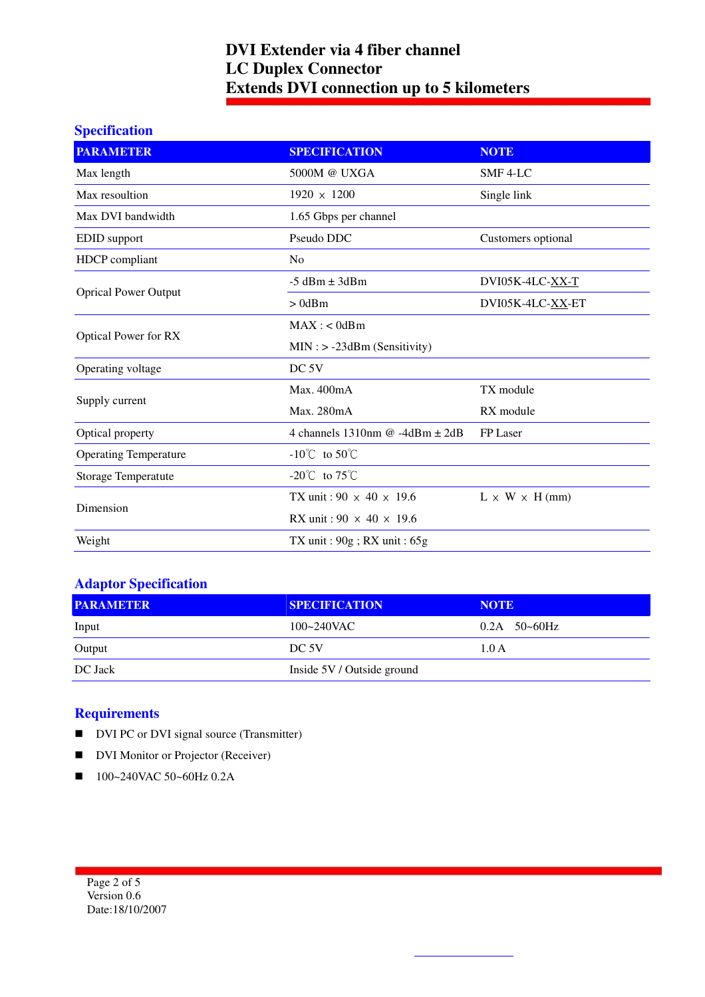# **Specification**

| <b>PARAMETER</b>             | <b>SPECIFICATION</b>                       | <b>NOTE</b>                |  |
|------------------------------|--------------------------------------------|----------------------------|--|
| Max length                   | 5000M @ UXGA                               | $SMF 4-LC$                 |  |
| Max resoultion               | $1920 \times 1200$                         | Single link                |  |
| Max DVI bandwidth            | 1.65 Gbps per channel                      |                            |  |
| <b>EDID</b> support          | Pseudo DDC<br>Customers optional           |                            |  |
| <b>HDCP</b> compliant        | N <sub>0</sub>                             |                            |  |
|                              | $-5$ dBm $\pm$ 3dBm                        | DVI05K-4LC-XX-T            |  |
| <b>Oprical Power Output</b>  | $>0$ dBm                                   | DVI05K-4LC-XX-ET           |  |
|                              | MAX: <0dBm                                 |                            |  |
| <b>Optical Power for RX</b>  | $MIN : > -23dBm (Sensitivity)$             |                            |  |
| Operating voltage            | DC <sub>5V</sub>                           |                            |  |
| Supply current               | Max. 400mA                                 | TX module                  |  |
|                              | Max. 280mA                                 | RX module                  |  |
| Optical property             | 4 channels 1310nm $\omega$ -4dBm $\pm$ 2dB | FP Laser                   |  |
| <b>Operating Temperature</b> | -10 $\degree$ C to 50 $\degree$ C          |                            |  |
| Storage Temperatute          | -20 $\degree$ C to 75 $\degree$ C          |                            |  |
|                              | TX unit: $90 \times 40 \times 19.6$        | $L \times W \times H$ (mm) |  |
| Dimension                    | RX unit: $90 \times 40 \times 19.6$        |                            |  |
| Weight                       | TX unit: $90g$ ; RX unit: $65g$            |                            |  |

# **Adaptor Specification**

| <b>PARAMETER</b> | <b>SPECIFICATION</b>       | <b>NOTE</b>    |
|------------------|----------------------------|----------------|
| Input            | $100 - 240$ VAC            | $0.2A$ 50~60Hz |
| Output           | DC 5V                      | 1.0A           |
| DC Jack          | Inside 5V / Outside ground |                |

# **Requirements**

- **DVI PC** or DVI signal source (Transmitter)
- DVI Monitor or Projector (Receiver)
- $100~240$ VAC 50~60Hz 0.2A

Page 2 of 5 Version 0.6 Date:18/10/2007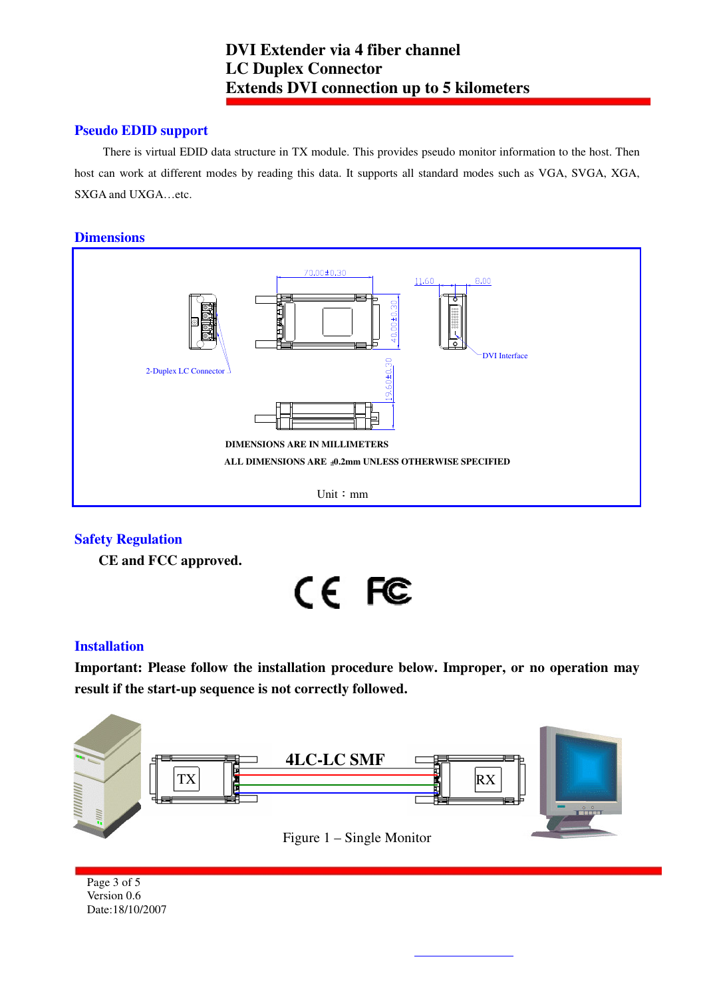# **Pseudo EDID support**

There is virtual EDID data structure in TX module. This provides pseudo monitor information to the host. Then host can work at different modes by reading this data. It supports all standard modes such as VGA, SVGA, XGA, SXGA and UXGA…etc.

#### **Dimensions**



## **Safety Regulation**

**CE and FCC approved.**

# CE FC

#### **Installation**

**Important: Please follow the installation procedure below. Improper, or no operation may result if the start-up sequence is not correctly followed.** 



Page 3 of 5 Version 0.6 Date:18/10/2007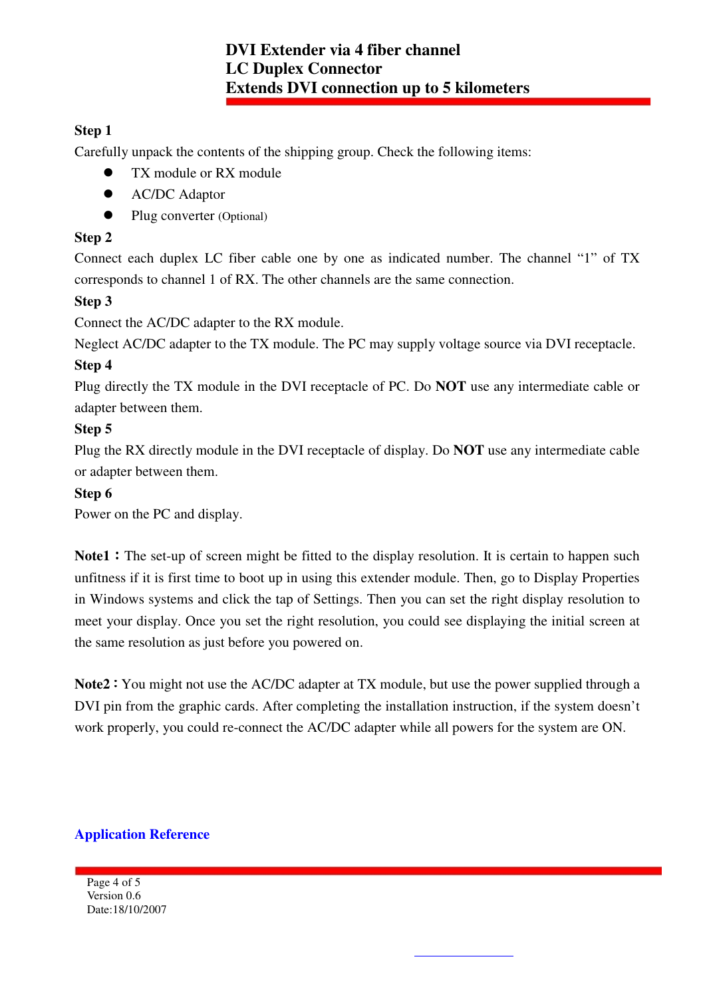# **Step 1**

Carefully unpack the contents of the shipping group. Check the following items:

- $\bullet$ TX module or RX module
- $\bullet$ AC/DC Adaptor
- $\bullet$ Plug converter (Optional)

# **Step 2**

Connect each duplex LC fiber cable one by one as indicated number. The channel "1" of TX corresponds to channel 1 of RX. The other channels are the same connection.

# **Step 3**

Connect the AC/DC adapter to the RX module.

Neglect AC/DC adapter to the TX module. The PC may supply voltage source via DVI receptacle.

## **Step 4**

Plug directly the TX module in the DVI receptacle of PC. Do **NOT** use any intermediate cable or adapter between them.

# **Step 5**

Plug the RX directly module in the DVI receptacle of display. Do **NOT** use any intermediate cable or adapter between them.

#### **Step 6**

Power on the PC and display.

**Note1**: The set-up of screen might be fitted to the display resolution. It is certain to happen such unfitness if it is first time to boot up in using this extender module. Then, go to Display Properties in Windows systems and click the tap of Settings. Then you can set the right display resolution to meet your display. Once you set the right resolution, you could see displaying the initial screen at the same resolution as just before you powered on.

**Note2**: You might not use the AC/DC adapter at TX module, but use the power supplied through a DVI pin from the graphic cards. After completing the installation instruction, if the system doesn't work properly, you could re-connect the AC/DC adapter while all powers for the system are ON.

## **Application Reference**

Page 4 of 5 Version 0.6 Date:18/10/2007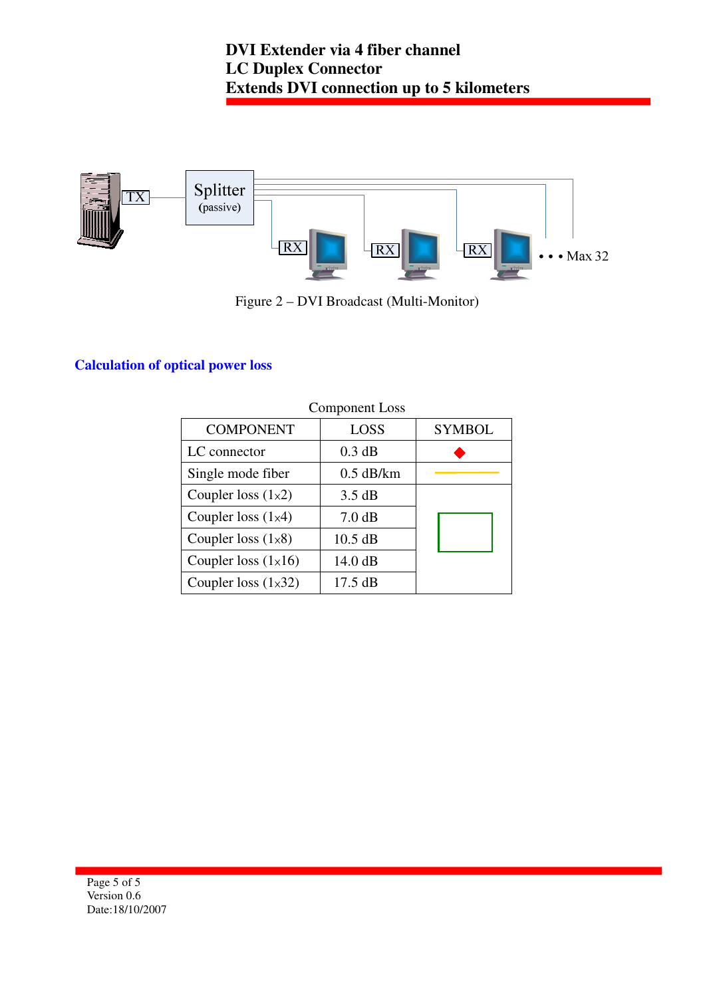

Figure 2 – DVI Broadcast (Multi-Monitor)

# **Calculation of optical power loss**

| Component Loss             |                   |               |  |  |  |
|----------------------------|-------------------|---------------|--|--|--|
| <b>COMPONENT</b>           | <b>LOSS</b>       | <b>SYMBOL</b> |  |  |  |
| LC connector               | $0.3$ dB          |               |  |  |  |
| Single mode fiber          | $0.5$ dB/km       |               |  |  |  |
| Coupler loss $(1x2)$       | 3.5 dB            |               |  |  |  |
| Coupler loss $(1x4)$       | 7.0 dB            |               |  |  |  |
| Coupler loss $(1\times8)$  | $10.5$ dB         |               |  |  |  |
| Coupler loss $(1x16)$      | 14.0 dB           |               |  |  |  |
| Coupler loss $(1\times32)$ | $17.5 \text{ dB}$ |               |  |  |  |

#### Component Loss

Page 5 of 5 Version 0.6 Date:18/10/2007